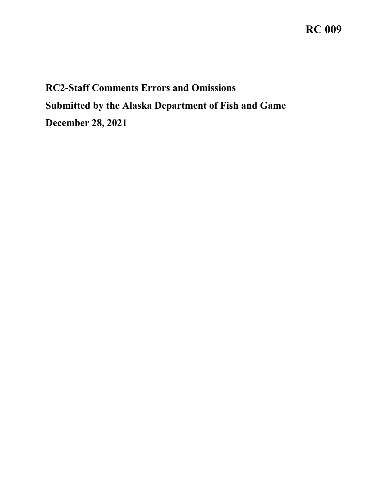## **RC 009**

## **RC2-Staff Comments Errors and Omissions Submitted by the Alaska Department of Fish and Game December 28, 2021**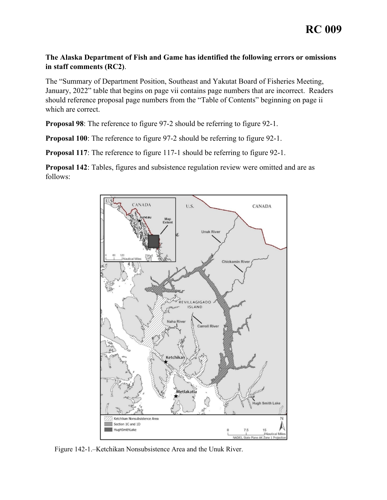## **The Alaska Department of Fish and Game has identified the following errors or omissions in staff comments (RC2)**.

The "Summary of Department Position, Southeast and Yakutat Board of Fisheries Meeting, January, 2022" table that begins on page vii contains page numbers that are incorrect. Readers should reference proposal page numbers from the "Table of Contents" beginning on page ii which are correct.

**Proposal 98**: The reference to figure 97-2 should be referring to figure 92-1.

**Proposal 100**: The reference to figure 97-2 should be referring to figure 92-1.

**Proposal 117:** The reference to figure 117-1 should be referring to figure 92-1.

**Proposal 142**: Tables, figures and subsistence regulation review were omitted and are as follows:



Figure 142-1.–Ketchikan Nonsubsistence Area and the Unuk River.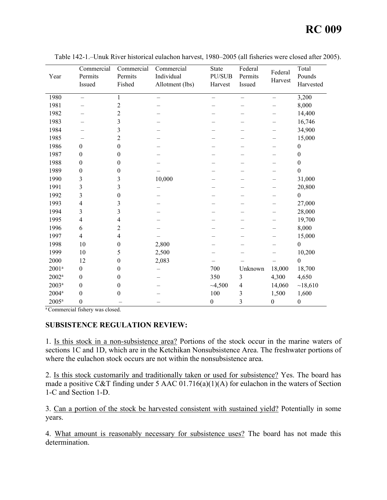| Year           | Commercial<br>Permits<br>Issued | Commercial<br>Permits<br>Fished | Commercial<br>Individual<br>Allotment (lbs) | <b>State</b><br>PU/SUB<br>Harvest | Federal<br>Permits<br>Issued | Federal<br>Harvest | Total<br>Pounds<br>Harvested |
|----------------|---------------------------------|---------------------------------|---------------------------------------------|-----------------------------------|------------------------------|--------------------|------------------------------|
| 1980           | $\overline{\phantom{0}}$        | $\mathbf{1}$                    |                                             | $\overline{\phantom{0}}$          | $\qquad \qquad -$            | $\qquad \qquad -$  | 3,200                        |
| 1981           |                                 | $\overline{c}$                  |                                             |                                   |                              |                    | 8,000                        |
| 1982           |                                 | $\overline{c}$                  |                                             |                                   |                              |                    | 14,400                       |
| 1983           |                                 | 3                               |                                             |                                   |                              |                    | 16,746                       |
| 1984           |                                 | 3                               |                                             |                                   |                              |                    | 34,900                       |
| 1985           |                                 | $\overline{c}$                  |                                             |                                   |                              |                    | 15,000                       |
| 1986           | $\boldsymbol{0}$                | $\boldsymbol{0}$                |                                             |                                   |                              |                    | $\boldsymbol{0}$             |
| 1987           | $\boldsymbol{0}$                | $\boldsymbol{0}$                |                                             |                                   |                              |                    | $\boldsymbol{0}$             |
| 1988           | $\boldsymbol{0}$                | 0                               |                                             |                                   |                              |                    | 0                            |
| 1989           | $\boldsymbol{0}$                | $\theta$                        |                                             |                                   |                              |                    | $\boldsymbol{0}$             |
| 1990           | 3                               | 3                               | 10,000                                      |                                   |                              |                    | 31,000                       |
| 1991           | 3                               | 3                               |                                             |                                   | -                            |                    | 20,800                       |
| 1992           | 3                               | $\boldsymbol{0}$                |                                             |                                   |                              |                    | $\boldsymbol{0}$             |
| 1993           | $\overline{4}$                  | 3                               |                                             |                                   |                              |                    | 27,000                       |
| 1994           | 3                               | 3                               |                                             |                                   |                              |                    | 28,000                       |
| 1995           | $\overline{4}$                  | 4                               |                                             |                                   |                              |                    | 19,700                       |
| 1996           | 6                               | $\overline{c}$                  |                                             |                                   |                              |                    | 8,000                        |
| 1997           | $\overline{4}$                  | 4                               |                                             |                                   |                              |                    | 15,000                       |
| 1998           | 10                              | $\boldsymbol{0}$                | 2,800                                       |                                   |                              |                    | $\boldsymbol{0}$             |
| 1999           | 10                              | 5                               | 2,500                                       |                                   |                              |                    | 10,200                       |
| 2000           | 12                              | $\boldsymbol{0}$                | 2,083                                       |                                   |                              |                    | $\mathbf{0}$                 |
| $2001^a$       | $\boldsymbol{0}$                | 0                               |                                             | 700                               | Unknown                      | 18,000             | 18,700                       |
| $2002^a$       | $\boldsymbol{0}$                | $\boldsymbol{0}$                |                                             | 350                               | 3                            | 4,300              | 4,650                        |
| $2003^a$       | $\boldsymbol{0}$                | $\boldsymbol{0}$                |                                             | $-4,500$                          | $\overline{4}$               | 14,060             | ~18,610                      |
| $2004^{\rm a}$ | $\boldsymbol{0}$                | $\boldsymbol{0}$                |                                             | $100\,$                           | 3                            | 1,500              | 1,600                        |
| $2005^a$       | $\boldsymbol{0}$                |                                 |                                             | $\boldsymbol{0}$                  | $\overline{3}$               | $\boldsymbol{0}$   | $\boldsymbol{0}$             |

Table 142-1.–Unuk River historical eulachon harvest, 1980–2005 (all fisheries were closed after 2005).

a Commercial fishery was closed.

## **SUBSISTENCE REGULATION REVIEW:**

1. Is this stock in a non-subsistence area? Portions of the stock occur in the marine waters of sections 1C and 1D, which are in the Ketchikan Nonsubsistence Area. The freshwater portions of where the eulachon stock occurs are not within the nonsubsistence area.

2. Is this stock customarily and traditionally taken or used for subsistence? Yes. The board has made a positive C&T finding under 5 AAC 01.716(a)(1)(A) for eulachon in the waters of Section 1-C and Section 1-D.

3. Can a portion of the stock be harvested consistent with sustained yield? Potentially in some years.

4. What amount is reasonably necessary for subsistence uses? The board has not made this determination.